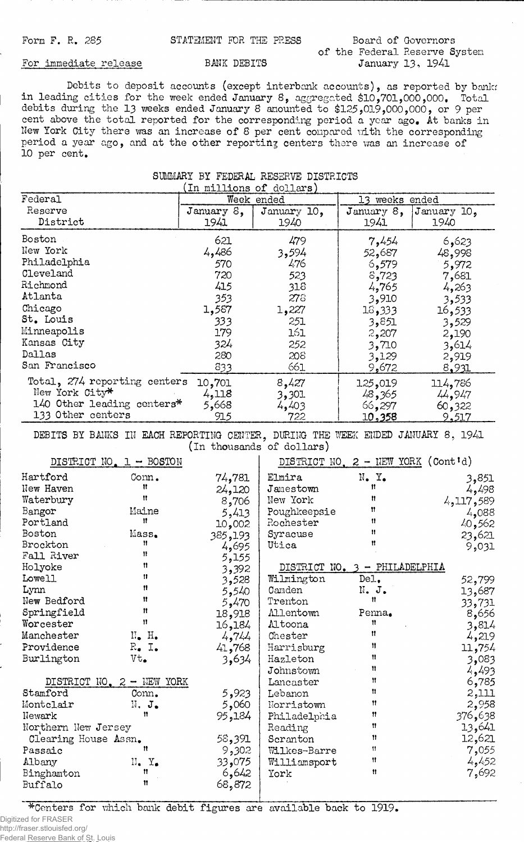## **of the Federal Reserve System**

## For immediate release BANK DEBITS

**Debits to deposit accounts (except interbank accounts), as reported by bankr in leading cities for the week ended January 8, aggregated \$ 1 0 , 701, 000, 000, Total debits during the 1 3 weeks ended January 8 amounted to \$ 125>019, 00 0 ,0 0 0, or 9 per cent above the total reported for the corresponding period a year ago. At banks in New York City there was an increase of 8 per cent compared with the corresponding period a year ago, and at the other reporting centers there was an increase of 10 per cent.**

## **SUMMARY BY FEDERAL RESERVE DISTRICTS (In millions of dollars)**

| TH MTTTMOND OT MATTOLD       |               |             |                |             |  |  |
|------------------------------|---------------|-------------|----------------|-------------|--|--|
| Federal                      | Week ended    |             | 13 weeks ended |             |  |  |
| Reserve                      | January $8$ , | January 10, | January $8$ ,  | January 10, |  |  |
| District                     | 1941          | 1940        | 1941           | 1940        |  |  |
| Boston                       | 621           | 479         | 7,454          | 6,623       |  |  |
| New York                     | 4,486         | 3,594       | 52,687         | 48,998      |  |  |
| Philadelphia                 | 570           | 476         | 6,579          | 5,972       |  |  |
| Cleveland                    | 720           | 523         | 8,723          | 7,681       |  |  |
| Richmond                     | 415           | 318         | 4,765          | 4,263       |  |  |
| Atlanta                      | 353           | 276         | 3,910          | 3,533       |  |  |
| Chicago                      | 1,587         | 1,227       | 15,333         | 16,533      |  |  |
| St. Louis                    | 333           | 251         | 3,851          | 3,529       |  |  |
| Minneapolis                  | 179           | 161         | 2,207          | 2,190       |  |  |
| Kansas City                  | 324           | 252         | 3,710          | 3,614       |  |  |
| Dallas                       | 280           | 208         | 3,129          | 2,919       |  |  |
| San Francisco                | 833           | 661         | 9,672          | 8,931       |  |  |
| Total, 274 reporting centers | 10,701        | 8,427       | 125,019        | 114,786     |  |  |
| New York City*               | 4,118         | 3,301       | 48,365         | 44,947      |  |  |
| 140 Other leading centers*   | 5,668         | 4,403       | 66,297         | 60,322      |  |  |
| 133 Other centers            | 915           | 722         | 10,358         | 9,517       |  |  |

DEBITS BY BANKS IN EACH REPORTING CENTER, DURING THE WEEK ENDED JANUARY 8, 1941 **(in thousands of dollars)**

|                                                                                                                              | DISTRICT NO. 1 - BOSTON                                                                               |                                                                          |                                                                                                                                | DISTRICT NO. $2$ - NEW YORK (Cont'd)                   |                                                                                            |
|------------------------------------------------------------------------------------------------------------------------------|-------------------------------------------------------------------------------------------------------|--------------------------------------------------------------------------|--------------------------------------------------------------------------------------------------------------------------------|--------------------------------------------------------|--------------------------------------------------------------------------------------------|
| Hartford<br>New Haven<br>Waterbury<br>Bangor<br>Portland<br>Boston                                                           | Conn.<br>Ħ<br>Ħ<br>Maine<br>Ħ<br>Mass.                                                                | 74,781<br>24,120<br>8,706<br>5,413<br>10,002<br>385,193                  | Elmira<br>Jamestown<br>New York<br>Poughkeepsie<br>Rochester<br>Syracuse                                                       | $N_{\bullet}$ $Y_{\bullet}$<br>Ħ<br>n<br>Ħ<br>11<br>11 | 3,851<br>4,498<br>4,117,589<br>4,088<br>40,562<br>23,621                                   |
| Brockton<br>Fall River<br>Holyoke<br>Lowell                                                                                  | Ħ<br>11<br>n<br>Ħ                                                                                     | 4,695<br>5,155<br>3,392<br>3,528                                         | Utica<br>Wilmington                                                                                                            | Ħ<br>DISTRICT NO. 3 - PHILADELPHIA<br>Del.             | 9,031<br>52,799                                                                            |
| Lynn<br>New Bedford<br>Springfield<br>Worcester<br>Manchester<br>Providence<br>Burlington                                    | 11<br>Ħ<br>Ħ<br>Ħ<br>$\mathbb{N}_{\bullet}$ H.<br>$R_{\bullet}$ I.<br>Vt.                             | 5,540<br>5,470<br>18,918<br>16,184<br>4,744<br>41,768<br>3,634           | Camden<br>Trenton<br><b>Allentown</b><br>Altoona<br>Chester<br>Harrisburg<br>Hazleton                                          | N. J.<br>Ħ<br>Penna.<br>11<br>n<br>11<br>11            | 13,687<br>33,731<br>8,656<br>3,814<br>4,219<br>11,754<br>3,083                             |
| Stamford<br>Montclair<br>Newark<br>Northern New Jersey<br>Clearing House Assn.<br>Passaic<br>Albany<br>Binghamton<br>Buffalo | DISTRICT NO. 2 - NEW YORK<br>Conn.<br>$N$ , $J_{\bullet}$<br>n<br>n<br>$II$ . $Y_{\bullet}$<br>Ħ<br>Ħ | 5,923<br>5,060<br>95,184<br>58,391<br>9,302<br>33,075<br>6,642<br>68,872 | Johnstown<br>Lancaster<br>Lebanon<br>Norristown<br>Philadelphia<br>Reading<br>Scranton<br>Wilkes-Barre<br>Williamsport<br>York | 11<br>n<br>Ħ<br>11<br>11<br>Ħ<br>11<br>11<br>11<br>Ħ   | 4,493<br>6,785<br>2,111<br>2,958<br>376,638<br>13,641<br>12,621<br>7,055<br>4,452<br>7,692 |

**^Centers for which bank debit figures are available back to 1919.**

Digitized for FRASER http://fraser.stlouisfed.org/

Federal Reserve Bank of St. Louis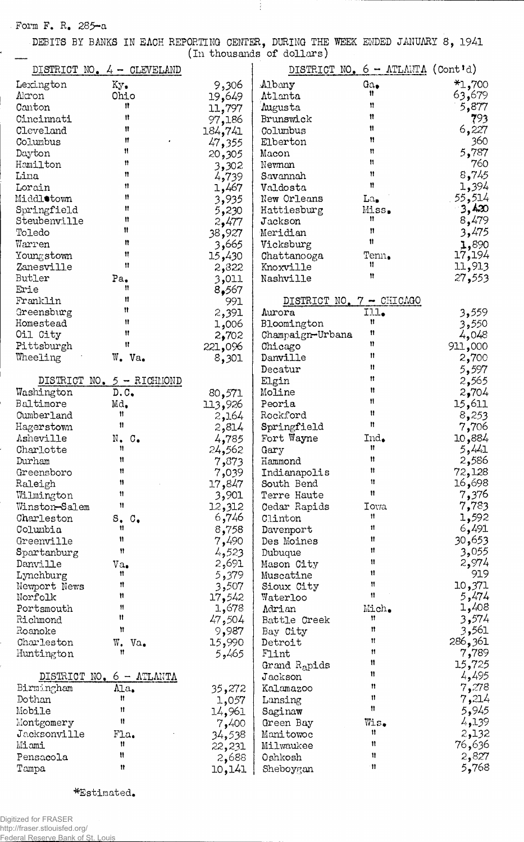**Form F. R. 285-a**

ï

í

**DEBITS BY BANKS IN EACH REPORTING CENTER., DURING THE WEEK ENDED JANUARY 8, 1941**

Ť

|                              |                          |                 | (In thousands of dollars)       |                                            |                  |
|------------------------------|--------------------------|-----------------|---------------------------------|--------------------------------------------|------------------|
| DISTRICT NO. $4 - CLEVELAND$ |                          |                 |                                 | DISTRICT NO. $6 - \text{ATLAITA}$ (Cont'd) |                  |
| Lexington                    |                          |                 |                                 | Ga.                                        | $*1,700$         |
| Akron                        | Ky.<br>Ohio              | 9,306           | Albany<br>Atlanta               | n                                          | 63,679           |
| Canton                       | n                        | 19,649          | Augusta                         | Ħ                                          | 5,877            |
| Cincinnati                   | Ħ                        | 11,797          | Brunswick                       | n                                          | 793              |
| Cleveland                    | $^{\dagger}$             | 97,186          |                                 | Ħ                                          | 6,227            |
| Columbus                     | n                        | 184,741         | Columbus<br>Elberton            | Ħ                                          | 360              |
| Dayton                       | Ħ                        | 47,355          |                                 | Ħ                                          | 5,787            |
| Hamilton                     | Ħ                        | 20,305          | Macon                           | Ħ                                          | 760              |
| Lima                         | 11                       | 3,302           | Newnan                          | Ħ                                          | 8,745            |
| Lorain                       | 11                       | 4,739           | Savannah                        | 11                                         | 1,394            |
| Middlotown                   | 11                       | 1,467           | Valdosta<br>New Orleans         |                                            | 55,514           |
| Springfield                  | Ħ                        | 3,935           |                                 | La,<br>Miss.                               | 3,420            |
| Steubenville                 | Ħ                        | 5,230           | Hattiesburg<br>Jackson          | Ħ                                          | 8,479            |
| Toledo                       | Ħ                        | 2,477           | Meridian                        | $^{\prime\prime}$                          | 3,475            |
| Warren                       | Ħ                        | 38,927          | Vicksburg                       | Ħ                                          |                  |
|                              | Ħ                        | 3,665           | Chattanooga                     | Tenn.                                      | 1,890            |
| Youngstown<br>Zanesville     | Ħ                        | 15,430          | Knoxville                       | Ħ                                          | 17,194<br>11,913 |
| Butler                       | Pa.                      | 2,822           | Nashville                       | Ħ                                          | 27,553           |
| Erie                         | Ħ                        | 3,011           |                                 |                                            |                  |
| Franklin                     | Ħ                        | 8,567           | DISTRICT NO. 7 - CHICAGO        |                                            |                  |
|                              | Ħ                        | 991             |                                 | Ill.                                       |                  |
| Greensburg<br>Homestead      | Ħ                        | 2,391           | Aurora                          | n                                          | 3,559            |
| Oil City                     | Ħ                        | 006و1           | Bloomington<br>Champaign-Urbana | n                                          | 3,550<br>4,048   |
| Pittsburgh                   | Ħ                        | 2,702           | Chicago                         | 11                                         |                  |
| Wheeling                     | W. Va.                   | 221,096         | Danville                        | n                                          | 911,000          |
|                              |                          | 8,301           | Decatur                         | Ħ                                          | 2,700            |
| DISTRICT                     | $NO. 5 - RICHIMOND$      |                 | Elgin                           | 11                                         | 5,597            |
| Washington                   | D.C.                     |                 | Moline                          | Ħ                                          | 2,565<br>2,704   |
| Baltimore                    |                          | 80,571          | Peoria                          | Ħ                                          |                  |
| Cumberland                   | Md,<br>Ħ                 | 113,926         | Rockford                        | Ħ                                          | 15,611           |
|                              | 11                       | 2,164           | Springfield                     | n                                          | 8,253            |
| Hagerstown<br>Asheville      |                          | 2,814           | Fort Wayne                      | Ind.                                       | 7,706            |
| Charlotte                    | N. C.<br>Ħ               | 4,785           | Gary                            | Ħ                                          | 10,884<br>5,441  |
| Durham                       | Ħ                        | 24,562<br>7,873 | Hammond                         | Ħ                                          | 2,586            |
| Greensboro                   | Ħ                        |                 | Indianapolis                    | Ħ                                          | 72,128           |
| Raleigh                      | Ħ                        | 7,039<br>17,847 | South Bend                      | 11                                         | 698, 16          |
| Wilmington                   | Ħ                        | 3,901           | Terre Haute                     | 11                                         | 7,376            |
| Winston-Salem                | Ħ                        | 12,312          | Cedar Rapids                    | <b>Towa</b>                                | 7,783            |
| Charleston                   | S <sub>o</sub>           | 6,746           | Clinton                         | Ħ                                          | 1,592            |
| Columbia                     | Ħ                        | 8,758           | Davenport                       | 11                                         | 6,491            |
| Greenville                   | Ħ                        | 7,490           | Des Moines                      | Ħ                                          | 30,653           |
| Spartanburg                  | 11                       | 4,523           | Dubuque                         | Ħ                                          | 3,055            |
| Danville                     | Va.                      | 2,691           | Mason City                      | 11                                         | 2,974            |
| Lynchburg                    | Ħ                        | 5,379           | Muscatine                       | Ħ                                          | 919              |
| Newport News                 | Ħ                        | 3,507           | Sioux City                      | Ħ                                          | 10,371           |
| Norfolk                      | Ħ                        | 17,542          | Waterloo                        | 11                                         | 5,474            |
| Portsmouth                   | 11                       | 1,678           | Adrian                          | Mich.                                      | 1,408            |
| Richmond                     | Ħ                        | 47,504          | Battle Creek                    | Ħ                                          | 3,574            |
| Roanoke                      | Ħ                        | 9,987           | Bay City                        | Ħ                                          | 3,561            |
| Charleston                   | W. Va.                   | 15,990          | Detroit                         | Ħ                                          | 286,361          |
| Huntington                   | 11                       | 5,465           | Flint                           | Ħ                                          | 7,789            |
|                              |                          |                 | Grand R <sub>a</sub> pids       | Ħ                                          | 15,725           |
|                              | DISTRICT NO. 6 - ATLANTA |                 | ${\rm J}$ ackson                | 11                                         | 4,495            |
| Birmingham                   | Ala.                     | 35,272          | Kalamazoo                       | Ħ                                          | 7,278            |
| Dothan                       | Ħ                        | 1,057           | Lansing                         | 11                                         | 214, 7           |
| Mobile                       | 11                       | 14,961          | Saginaw                         | Ħ                                          | 5,945            |
| Montgomery                   | Ħ                        | 7,400           | Green Bay                       | Wis.                                       | 4,139            |
| Jacksonville                 | Fla.                     | 34,538          | Manitowoc                       | 11                                         | 2,132            |
| Miomi                        | Ħ                        | 22,231          | Milwaukee                       | n                                          | 76,636           |
| Pensacola                    | Ħ                        | 2,688           | Oshkosh                         | 11                                         | 2,827            |
| Tampa                        | Ħ                        | 10,141          | Sheboygan                       | Ħ                                          | 5,768            |
|                              |                          |                 |                                 |                                            |                  |

**■^Estimated,**